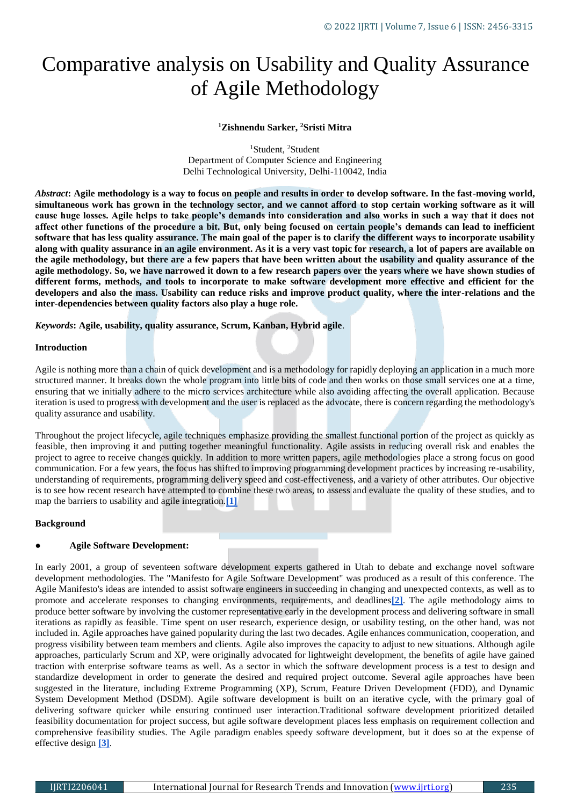# Comparative analysis on Usability and Quality Assurance of Agile Methodology

## **<sup>1</sup>Zishnendu Sarker, <sup>2</sup>Sristi Mitra**

<sup>1</sup>Student, <sup>2</sup>Student Department of Computer Science and Engineering Delhi Technological University, Delhi-110042, India

*Abstract***: Agile methodology is a way to focus on people and results in order to develop software. In the fast-moving world, simultaneous work has grown in the technology sector, and we cannot afford to stop certain working software as it will cause huge losses. Agile helps to take people's demands into consideration and also works in such a way that it does not affect other functions of the procedure a bit. But, only being focused on certain people's demands can lead to inefficient software that has less quality assurance. The main goal of the paper is to clarify the different ways to incorporate usability along with quality assurance in an agile environment. As it is a very vast topic for research, a lot of papers are available on the agile methodology, but there are a few papers that have been written about the usability and quality assurance of the agile methodology. So, we have narrowed it down to a few research papers over the years where we have shown studies of different forms, methods, and tools to incorporate to make software development more effective and efficient for the developers and also the mass. Usability can reduce risks and improve product quality, where the inter-relations and the inter-dependencies between quality factors also play a huge role.**

*Keywords***: Agile, usability, quality assurance, Scrum, Kanban, Hybrid agile**.

#### **Introduction**

Agile is nothing more than a chain of quick development and is a methodology for rapidly deploying an application in a much more structured manner. It breaks down the whole program into little bits of code and then works on those small services one at a time, ensuring that we initially adhere to the micro services architecture while also avoiding affecting the overall application. Because iteration is used to progress with development and the user is replaced as the advocate, there is concern regarding the methodology's quality assurance and usability.

Throughout the project lifecycle, agile techniques emphasize providing the smallest functional portion of the project as quickly as feasible, then improving it and putting together meaningful functionality. Agile assists in reducing overall risk and enables the project to agree to receive changes quickly. In addition to more written papers, agile methodologies place a strong focus on good communication. For a few years, the focus has shifted to improving programming development practices by increasing re-usability, understanding of requirements, programming delivery speed and cost-effectiveness, and a variety of other attributes. Our objective is to see how recent research have attempted to combine these two areas, to assess and evaluate the quality of these studies, and to map the barriers to usability and agile integration.**[\[1\]](https://www.digite.com/agile/agile-methodology)**

### **Background**

### ● **Agile Software Development:**

In early 2001, a group of seventeen software development experts gathered in Utah to debate and exchange novel software development methodologies. The "Manifesto for Agile Software Development" was produced as a result of this conference. The Agile Manifesto's ideas are intended to assist software engineers in succeeding in changing and unexpected contexts, as well as to promote and accelerate responses to changing environments, requirements, and deadlines**[\[2\]](http://users.jyu.fi/~mieijala/kandimateriaali/Agile-Manifesto.pdf)**. The agile methodology aims to produce better software by involving the customer representative early in the development process and delivering software in small iterations as rapidly as feasible. Time spent on user research, experience design, or usability testing, on the other hand, was not included in. Agile approaches have gained popularity during the last two decades. Agile enhances communication, cooperation, and progress visibility between team members and clients. Agile also improves the capacity to adjust to new situations. Although agile approaches, particularly Scrum and XP, were originally advocated for lightweight development, the benefits of agile have gained traction with enterprise software teams as well. As a sector in which the software development process is a test to design and standardize development in order to generate the desired and required project outcome. Several agile approaches have been suggested in the literature, including Extreme Programming (XP), Scrum, Feature Driven Development (FDD), and Dynamic System Development Method (DSDM). Agile software development is built on an iterative cycle, with the primary goal of delivering software quicker while ensuring continued user interaction.Traditional software development prioritized detailed feasibility documentation for project success, but agile software development places less emphasis on requirement collection and comprehensive feasibility studies. The Agile paradigm enables speedy software development, but it does so at the expense of effective design **[\[3\]](https://ieeexplore.ieee.org/abstract/document/8748767)**.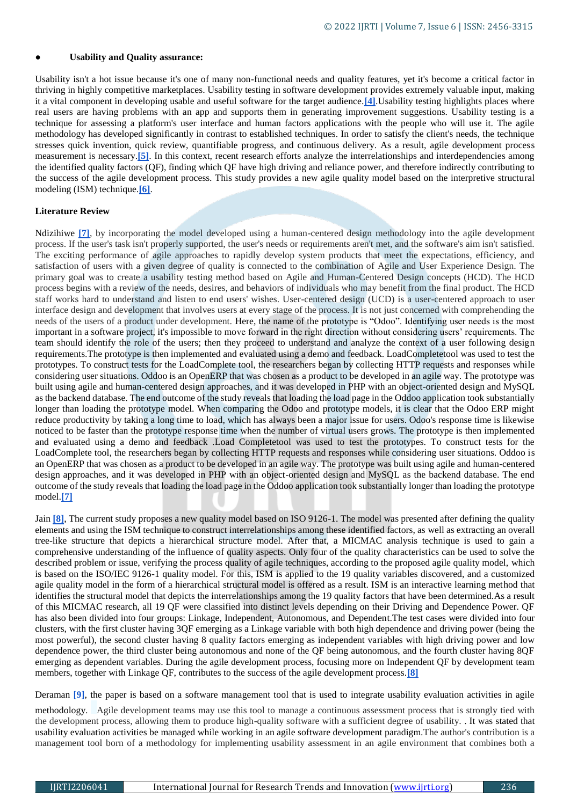#### **Usability and Quality assurance:**

Usability isn't a hot issue because it's one of many non-functional needs and quality features, yet it's become a critical factor in thriving in highly competitive marketplaces. Usability testing in software development provides extremely valuable input, making it a vital component in developing usable and useful software for the target audience.**[\[4\]](https://ieeexplore.ieee.org/document/903160)**.Usability testing highlights places where real users are having problems with an app and supports them in generating improvement suggestions. Usability testing is a technique for assessing a platform's user interface and human factors applications with the people who will use it. The agile methodology has developed significantly in contrast to established techniques. In order to satisfy the client's needs, the technique stresses quick invention, quick review, quantifiable progress, and continuous delivery. As a result, agile development process measurement is necessary.**[\[5\]](https://ieeexplore.ieee.org/document/9046348)**. In this context, recent research efforts analyze the interrelationships and interdependencies among the identified quality factors (QF), finding which QF have high driving and reliance power, and therefore indirectly contributing to the success of the agile development process. This study provides a new agile quality model based on the interpretive structural modeling (ISM) technique.**[\[6\]](https://medium.com/@concisesoftware/everything-you-should-know-about-qa-in-software-development-the-beginners-guide-3e7afacf607c#:~:text=Quality%20assurance%20is%20a%20critical%20part%20of%20every,in%20turn%2C%20improve%20loyalty%20and%20trust%20of%20consumers.)**.

### **Literature Review**

Ndizihiwe [\[7\]](http://ir.jkuat.ac.ke/handle/123456789/3478), by incorporating the model developed using a human-centered design methodology into the agile development process. If the user's task isn't properly supported, the user's needs or requirements aren't met, and the software's aim isn't satisfied. The exciting performance of agile approaches to rapidly develop system products that meet the expectations, efficiency, and satisfaction of users with a given degree of quality is connected to the combination of Agile and User Experience Design. The primary goal was to create a usability testing method based on Agile and Human-Centered Design concepts (HCD). The HCD process begins with a review of the needs, desires, and behaviors of individuals who may benefit from the final product. The HCD staff works hard to understand and listen to end users' wishes. User-centered design (UCD) is a user-centered approach to user interface design and development that involves users at every stage of the process. It is not just concerned with comprehending the needs of the users of a product under development. Here, the name of the prototype is "Odoo". Identifying user needs is the most important in a software project, it's impossible to move forward in the right direction without considering users' requirements. The team should identify the role of the users; then they proceed to understand and analyze the context of a user following design requirements.The prototype is then implemented and evaluated using a demo and feedback. LoadCompletetool was used to test the prototypes. To construct tests for the LoadComplete tool, the researchers began by collecting HTTP requests and responses while considering user situations. Oddoo is an OpenERP that was chosen as a product to be developed in an agile way. The prototype was built using agile and human-centered design approaches, and it was developed in PHP with an object-oriented design and MySQL as the backend database. The end outcome of the study reveals that loading the load page in the Oddoo application took substantially longer than loading the prototype model. When comparing the Odoo and prototype models, it is clear that the Odoo ERP might reduce productivity by taking a long time to load, which has always been a major issue for users. Odoo's response time is likewise noticed to be faster than the prototype response time when the number of virtual users grows. The prototype is then implemented and evaluated using a demo and feedback .Load Completetool was used to test the prototypes. To construct tests for the LoadComplete tool, the researchers began by collecting HTTP requests and responses while considering user situations. Oddoo is an OpenERP that was chosen as a product to be developed in an agile way. The prototype was built using agile and human-centered design approaches, and it was developed in PHP with an object-oriented design and MySQL as the backend database. The end outcome of the study reveals that loading the load page in the Oddoo application took substantially longer than loading the prototype model.**[\[7\]](http://ir.jkuat.ac.ke/handle/123456789/3478)**

Jain [\[8\]](https://www.igi-global.com/article/a-customized-quality-model-for-software-quality-assurance-in-agile-environment/227688), The current study proposes a new quality model based on ISO 9126-1. The model was presented after defining the quality elements and using the ISM technique to construct interrelationships among these identified factors, as well as extracting an overall tree-like structure that depicts a hierarchical structure model. After that, a MICMAC analysis technique is used to gain a comprehensive understanding of the influence of quality aspects. Only four of the quality characteristics can be used to solve the described problem or issue, verifying the process quality of agile techniques, according to the proposed agile quality model, which is based on the ISO/IEC 9126-1 quality model. For this, ISM is applied to the 19 quality variables discovered, and a customized agile quality model in the form of a hierarchical structural model is offered as a result. ISM is an interactive learning method that identifies the structural model that depicts the interrelationships among the 19 quality factors that have been determined.As a result of this MICMAC research, all 19 QF were classified into distinct levels depending on their Driving and Dependence Power. QF has also been divided into four groups: Linkage, Independent, Autonomous, and Dependent.The test cases were divided into four clusters, with the first cluster having 3QF emerging as a Linkage variable with both high dependence and driving power (being the most powerful), the second cluster having 8 quality factors emerging as independent variables with high driving power and low dependence power, the third cluster being autonomous and none of the QF being autonomous, and the fourth cluster having 8QF emerging as dependent variables. During the agile development process, focusing more on Independent QF by development team members, together with Linkage QF, contributes to the success of the agile development process.**[\[8\]](https://www.igi-global.com/article/a-customized-quality-model-for-software-quality-assurance-in-agile-environment/227688)**

Deraman <sup>[\[9\]](https://d1wqtxts1xzle7.cloudfront.net/63930070/62_22Oct18_11511_Managing_Usability_EDIT_BY_AMIR20200715-5400-1drdhbc-with-cover-page-v2.pdf?Expires=1636396983&Signature=KjwS9NdATsdKdc2ndBS4iaIFqlQXEDoPNZ9lLisuNiqlzWogTuZAu9kCrZCDAB77JbAoV9C8RzFGOHK4kwASCUqSXCtg123d0OKGL7f-3SdP4vtzdHnU52xnHJpz19S1veNxksbtab~ctbe7K1b4nexegeB5bpD3nmWihDt4NnY-Rryy~KTMaBwq~bM2MS-65~oMZoCPrxrdXfGm9joXypww3-V6EEyGzZAegzrio94WZXfbCMDF-RlPnwlvAe9O~QN~7EIqVKkY7Dqi~uvjIV85FmRQZdaUijSkSwZzwVNND0UQCEXDIVUn0kWc99eo1phj8s1u~H2aWvPRGPGb0Q__&Key-Pair-Id=APKAJLOHF5GGSLRBV4ZA)</sup>, the paper is based on a software management tool that is used to integrate usability evaluation activities in agile

methodology. Agile development teams may use this tool to manage a continuous assessment process that is strongly tied with the development process, allowing them to produce high-quality software with a sufficient degree of usability. . It was stated that usability evaluation activities be managed while working in an agile software development paradigm.The author's contribution is a management tool born of a methodology for implementing usability assessment in an agile environment that combines both a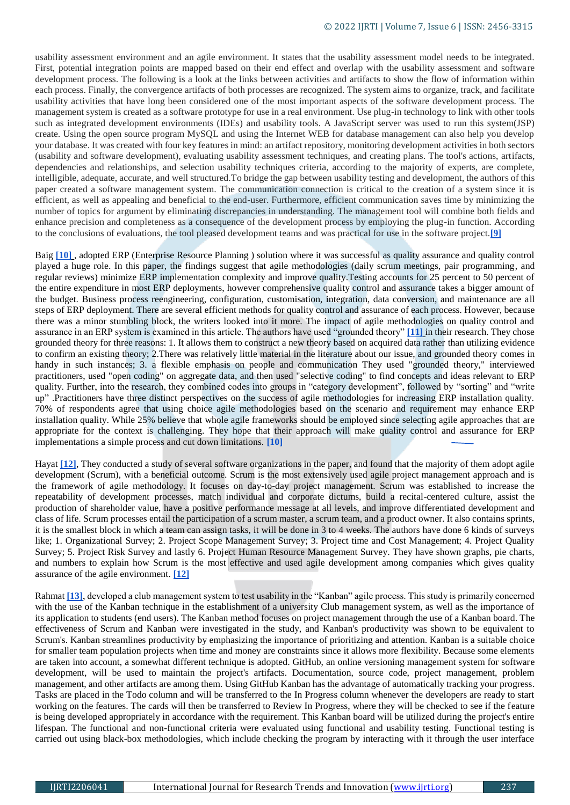usability assessment environment and an agile environment. It states that the usability assessment model needs to be integrated. First, potential integration points are mapped based on their end effect and overlap with the usability assessment and software development process. The following is a look at the links between activities and artifacts to show the flow of information within each process. Finally, the convergence artifacts of both processes are recognized. The system aims to organize, track, and facilitate usability activities that have long been considered one of the most important aspects of the software development process. The management system is created as a software prototype for use in a real environment. Use plug-in technology to link with other tools such as integrated development environments (IDEs) and usability tools. A JavaScript server was used to run this system(JSP) create. Using the open source program MySQL and using the Internet WEB for database management can also help you develop your database. It was created with four key features in mind: an artifact repository, monitoring development activities in both sectors (usability and software development), evaluating usability assessment techniques, and creating plans. The tool's actions, artifacts, dependencies and relationships, and selection usability techniques criteria, according to the majority of experts, are complete, intelligible, adequate, accurate, and well structured.To bridge the gap between usability testing and development, the authors of this paper created a software management system. The communication connection is critical to the creation of a system since it is efficient, as well as appealing and beneficial to the end-user. Furthermore, efficient communication saves time by minimizing the number of topics for argument by eliminating discrepancies in understanding. The management tool will combine both fields and enhance precision and completeness as a consequence of the development process by employing the plug-in function. According to the conclusions of evaluations, the tool pleased development teams and was practical for use in the software project.**[\[9\]](https://d1wqtxts1xzle7.cloudfront.net/63930070/62_22Oct18_11511_Managing_Usability_EDIT_BY_AMIR20200715-5400-1drdhbc-with-cover-page-v2.pdf?Expires=1636396983&Signature=KjwS9NdATsdKdc2ndBS4iaIFqlQXEDoPNZ9lLisuNiqlzWogTuZAu9kCrZCDAB77JbAoV9C8RzFGOHK4kwASCUqSXCtg123d0OKGL7f-3SdP4vtzdHnU52xnHJpz19S1veNxksbtab~ctbe7K1b4nexegeB5bpD3nmWihDt4NnY-Rryy~KTMaBwq~bM2MS-65~oMZoCPrxrdXfGm9joXypww3-V6EEyGzZAegzrio94WZXfbCMDF-RlPnwlvAe9O~QN~7EIqVKkY7Dqi~uvjIV85FmRQZdaUijSkSwZzwVNND0UQCEXDIVUn0kWc99eo1phj8s1u~H2aWvPRGPGb0Q__&Key-Pair-Id=APKAJLOHF5GGSLRBV4ZA)**

Baig **[\[10\]](https://ieeexplore.ieee.org/document/8260055)** [,](https://ieeexplore.ieee.org/document/8260055) adopted ERP (Enterprise Resource Planning ) solution where it was successful as quality assurance and quality control played a huge role. In this paper, the findings suggest that agile methodologies (daily scrum meetings, pair programming, and regular reviews) minimize ERP implementation complexity and improve quality.Testing accounts for 25 percent to 50 percent of the entire expenditure in most ERP deployments, however comprehensive quality control and assurance takes a bigger amount of the budget. Business process reengineering, configuration, customisation, integration, data conversion, and maintenance are all steps of ERP deployment. There are several efficient methods for quality control and assurance of each process. However, because there was a minor stumbling block, the writers looked into it more. The impact of agile methodologies on quality control and assurance in an ERP system is examined in this article. The authors have used "grounded theory" **[\[11\]](https://www.ncbi.nlm.nih.gov/pmc/articles/PMC6318722/)** in their research. They chose grounded theory for three reasons: 1. It allows them to construct a new theory based on acquired data rather than utilizing evidence to confirm an existing theory; 2.There was relatively little material in the literature about our issue, and grounded theory comes in handy in such instances; 3. a flexible emphasis on people and communication They used "grounded theory," interviewed practitioners, used "open coding" on aggregate data, and then used "selective coding" to find concepts and ideas relevant to ERP quality. Further, into the research, they combined codes into groups in "category development", followed by "sorting" and "write up" .Practitioners have three distinct perspectives on the success of agile methodologies for increasing ERP installation quality. 70% of respondents agree that using choice agile methodologies based on the scenario and requirement may enhance ERP installation quality. While 25% believe that whole agile frameworks should be employed since selecting agile approaches that are appropriate for the context is challenging. They hope that their approach will make quality control and assurance for ERP implementations a simple process and cut down limitations. **[\[10\]](https://ieeexplore.ieee.org/document/8260055)**

Hayat **[\[12\]](https://ieeexplore.ieee.org/abstract/document/8935813)**, They conducted a study of several software organizations in the paper, and found that the majority of them adopt agile development (Scrum), with a beneficial outcome. Scrum is the most extensively used agile project management approach and is the framework of agile methodology. It focuses on day-to-day project management. Scrum was established to increase the repeatability of development processes, match individual and corporate dictums, build a recital-centered culture, assist the production of shareholder value, have a positive performance message at all levels, and improve differentiated development and class of life. Scrum processes entail the participation of a scrum master, a scrum team, and a product owner. It also contains sprints, it is the smallest block in which a team can assign tasks, it will be done in 3 to 4 weeks. The authors have done 6 kinds of surveys like; 1. Organizational Survey; 2. Project Scope Management Survey; 3. Project time and Cost Management; 4. Project Quality Survey; 5. Project Risk Survey and lastly 6. Project Human Resource Management Survey. They have shown graphs, pie charts, and numbers to explain how Scrum is the most effective and used agile development among companies which gives quality assurance of the agile environment. **[\[12\]](https://ieeexplore.ieee.org/abstract/document/8935813)**

Rahmat **[\[13\]](https://ieeexplore.ieee.org/abstract/document/9339668)**, developed a club management system to test usability in the "Kanban" agile process. This study is primarily concerned with the use of the Kanban technique in the establishment of a university Club management system, as well as the importance of its application to students (end users). The Kanban method focuses on project management through the use of a Kanban board. The effectiveness of Scrum and Kanban were investigated in the study, and Kanban's productivity was shown to be equivalent to Scrum's. Kanban streamlines productivity by emphasizing the importance of prioritizing and attention. Kanban is a suitable choice for smaller team population projects when time and money are constraints since it allows more flexibility. Because some elements are taken into account, a somewhat different technique is adopted. GitHub, an online versioning management system for software development, will be used to maintain the project's artifacts. Documentation, source code, project management, problem management, and other artifacts are among them. Using GitHub Kanban has the advantage of automatically tracking your progress. Tasks are placed in the Todo column and will be transferred to the In Progress column whenever the developers are ready to start working on the features. The cards will then be transferred to Review In Progress, where they will be checked to see if the feature is being developed appropriately in accordance with the requirement. This Kanban board will be utilized during the project's entire lifespan. The functional and non-functional criteria were evaluated using functional and usability testing. Functional testing is carried out using black-box methodologies, which include checking the program by interacting with it through the user interface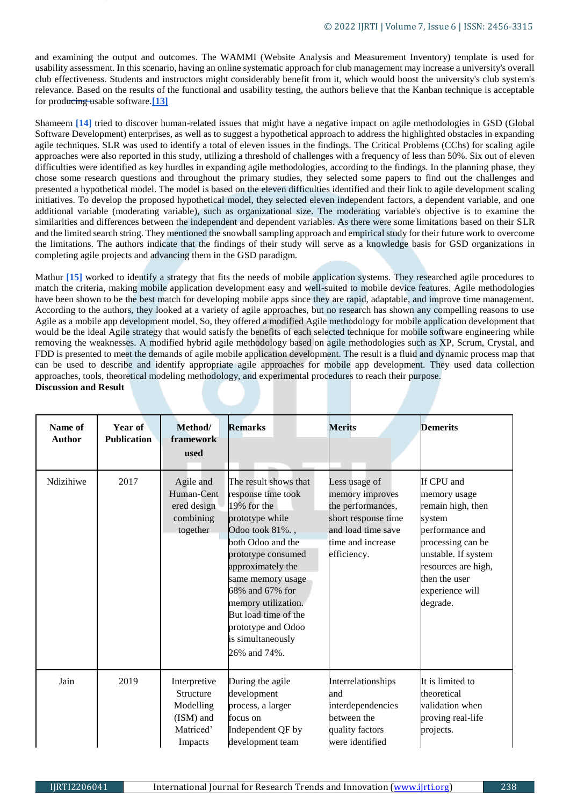and examining the output and outcomes. The WAMMI (Website Analysis and Measurement Inventory) template is used for usability assessment. In this scenario, having an online systematic approach for club management may increase a university's overall club effectiveness. Students and instructors might considerably benefit from it, which would boost the university's club system's relevance. Based on the results of the functional and usability testing, the authors believe that the Kanban technique is acceptable for producing usable software.**[\[13\]](https://ieeexplore.ieee.org/abstract/document/9339668)**

Shameem **[\[14\]](https://ieeexplore.ieee.org/abstract/document/8777533)** [t](https://ieeexplore.ieee.org/abstract/document/8777533)ried to discover human-related issues that might have a negative impact on agile methodologies in GSD (Global Software Development) enterprises, as well as to suggest a hypothetical approach to address the highlighted obstacles in expanding agile techniques. SLR was used to identify a total of eleven issues in the findings. The Critical Problems (CChs) for scaling agile approaches were also reported in this study, utilizing a threshold of challenges with a frequency of less than 50%. Six out of eleven difficulties were identified as key hurdles in expanding agile methodologies, according to the findings. In the planning phase, they chose some research questions and throughout the primary studies, they selected some papers to find out the challenges and presented a hypothetical model. The model is based on the eleven difficulties identified and their link to agile development scaling initiatives. To develop the proposed hypothetical model, they selected eleven independent factors, a dependent variable, and one additional variable (moderating variable), such as organizational size. The moderating variable's objective is to examine the similarities and differences between the independent and dependent variables. As there were some limitations based on their SLR and the limited search string. They mentioned the snowball sampling approach and empirical study for their future work to overcome the limitations. The authors indicate that the findings of their study will serve as a knowledge basis for GSD organizations in completing agile projects and advancing them in the GSD paradigm.

Mathur [\[15\]](https://ieeexplore.ieee.org/abstract/document/8862532) worked to identify a strategy that fits the needs of mobile application systems. They researched agile procedures to match the criteria, making mobile application development easy and well-suited to mobile device features. Agile methodologies have been shown to be the best match for developing mobile apps since they are rapid, adaptable, and improve time management. According to the authors, they looked at a variety of agile approaches, but no research has shown any compelling reasons to use Agile as a mobile app development model. So, they offered a modified Agile methodology for mobile application development that would be the ideal Agile strategy that would satisfy the benefits of each selected technique for mobile software engineering while removing the weaknesses. A modified hybrid agile methodology based on agile methodologies such as XP, Scrum, Crystal, and FDD is presented to meet the demands of agile mobile application development. The result is a fluid and dynamic process map that can be used to describe and identify appropriate agile approaches for mobile app development. They used data collection approaches, tools, theoretical modeling methodology, and experimental procedures to reach their purpose. **Discussion and Result**

| Name of<br><b>Author</b> | Year of<br><b>Publication</b> | Method/<br>framework<br>used                                                | <b>Remarks</b>                                                                                                                                                                                                                                                                                                     | <b>Merits</b>                                                                                                                          | <b>Demerits</b>                                                                                                                                                                                 |
|--------------------------|-------------------------------|-----------------------------------------------------------------------------|--------------------------------------------------------------------------------------------------------------------------------------------------------------------------------------------------------------------------------------------------------------------------------------------------------------------|----------------------------------------------------------------------------------------------------------------------------------------|-------------------------------------------------------------------------------------------------------------------------------------------------------------------------------------------------|
| Ndizihiwe                | 2017                          | Agile and<br>Human-Cent<br>ered design<br>combining<br>together             | The result shows that<br>response time took<br>19% for the<br>prototype while<br>Odoo took 81%.,<br>both Odoo and the<br>prototype consumed<br>approximately the<br>same memory usage<br>68% and 67% for<br>memory utilization.<br>But load time of the<br>prototype and Odoo<br>is simultaneously<br>26% and 74%. | Less usage of<br>memory improves<br>the performances,<br>short response time<br>and load time save<br>time and increase<br>efficiency. | If CPU and<br>memory usage<br>remain high, then<br>system<br>performance and<br>processing can be<br>unstable. If system<br>resources are high,<br>then the user<br>experience will<br>degrade. |
| Jain                     | 2019                          | Interpretive<br>Structure<br>Modelling<br>(ISM) and<br>Matriced'<br>Impacts | During the agile<br>development<br>process, a larger<br>focus on<br>Independent QF by<br>development team                                                                                                                                                                                                          | Interrelationships<br>and<br>interdependencies<br>between the<br>quality factors<br>were identified                                    | It is limited to<br>theoretical<br>validation when<br>proving real-life<br>projects.                                                                                                            |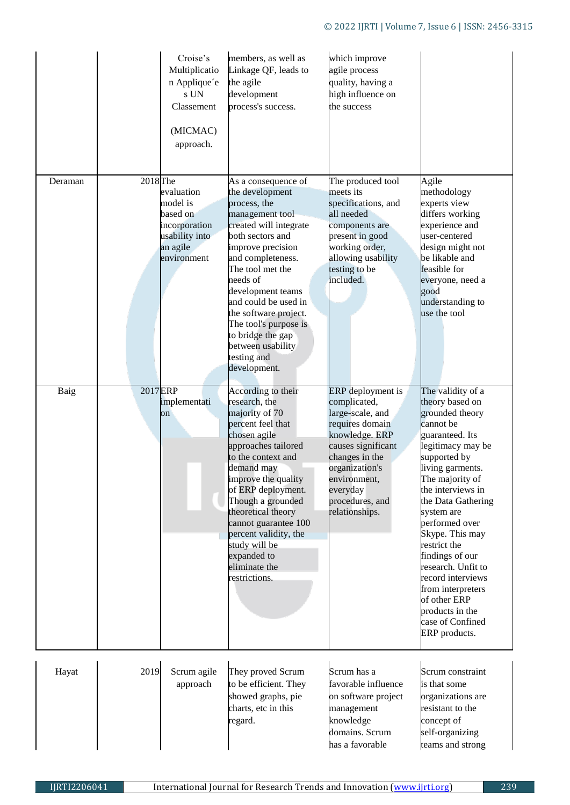|         | Croise's<br>Multiplicatio<br>n Applique'e<br>s UN<br>Classement<br>(MICMAC)<br>approach.                                | members, as well as<br>Linkage QF, leads to<br>the agile<br>development<br>process's success.                                                                                                                                                                                                                                                                             | which improve<br>agile process<br>quality, having a<br>high influence on<br>the success                                                                                                                               |                                                                                                                                                                                                                                                                                                                                                                                                                                              |
|---------|-------------------------------------------------------------------------------------------------------------------------|---------------------------------------------------------------------------------------------------------------------------------------------------------------------------------------------------------------------------------------------------------------------------------------------------------------------------------------------------------------------------|-----------------------------------------------------------------------------------------------------------------------------------------------------------------------------------------------------------------------|----------------------------------------------------------------------------------------------------------------------------------------------------------------------------------------------------------------------------------------------------------------------------------------------------------------------------------------------------------------------------------------------------------------------------------------------|
| Deraman | 2018 <sub>The</sub><br>evaluation<br>model is<br>based on<br>incorporation<br>usability into<br>an agile<br>environment | As a consequence of<br>the development<br>process, the<br>management tool<br>created will integrate<br>both sectors and<br>improve precision<br>and completeness.<br>The tool met the<br>needs of<br>development teams<br>and could be used in<br>the software project.<br>The tool's purpose is<br>to bridge the gap<br>between usability<br>testing and<br>development. | The produced tool<br>meets its<br>specifications, and<br>all needed<br>components are<br>present in good<br>working order,<br>allowing usability<br>testing to be<br>included.                                        | Agile<br>methodology<br>experts view<br>differs working<br>experience and<br>user-centered<br>design might not<br>be likable and<br>feasible for<br>everyone, need a<br>good<br>understanding to<br>use the tool                                                                                                                                                                                                                             |
| Baig    | 2017 <sub>ERP</sub><br>implementati<br>on                                                                               | According to their<br>research, the<br>majority of 70<br>percent feel that<br>chosen agile<br>approaches tailored<br>to the context and<br>demand may<br>improve the quality<br>of ERP deployment.<br>Though a grounded<br>theoretical theory<br>cannot guarantee 100<br>percent validity, the<br>study will be<br>expanded to<br>eliminate the<br>restrictions.          | ERP deployment is<br>complicated,<br>large-scale, and<br>requires domain<br>knowledge. ERP<br>causes significant<br>changes in the<br>organization's<br>environment,<br>everyday<br>procedures, and<br>relationships. | The validity of a<br>theory based on<br>grounded theory<br>cannot be<br>guaranteed. Its<br>legitimacy may be<br>supported by<br>living garments.<br>The majority of<br>the interviews in<br>the Data Gathering<br>system are<br>performed over<br>Skype. This may<br>restrict the<br>findings of our<br>research. Unfit to<br>record interviews<br>from interpreters<br>of other ERP<br>products in the<br>case of Confined<br>ERP products. |
| Hayat   | 2019<br>Scrum agile<br>approach                                                                                         | They proved Scrum<br>to be efficient. They<br>showed graphs, pie<br>charts, etc in this<br>regard.                                                                                                                                                                                                                                                                        | Scrum has a<br>favorable influence<br>on software project<br>management<br>knowledge<br>domains. Scrum<br>has a favorable                                                                                             | Scrum constraint<br>is that some<br>organizations are<br>resistant to the<br>concept of<br>self-organizing<br>teams and strong                                                                                                                                                                                                                                                                                                               |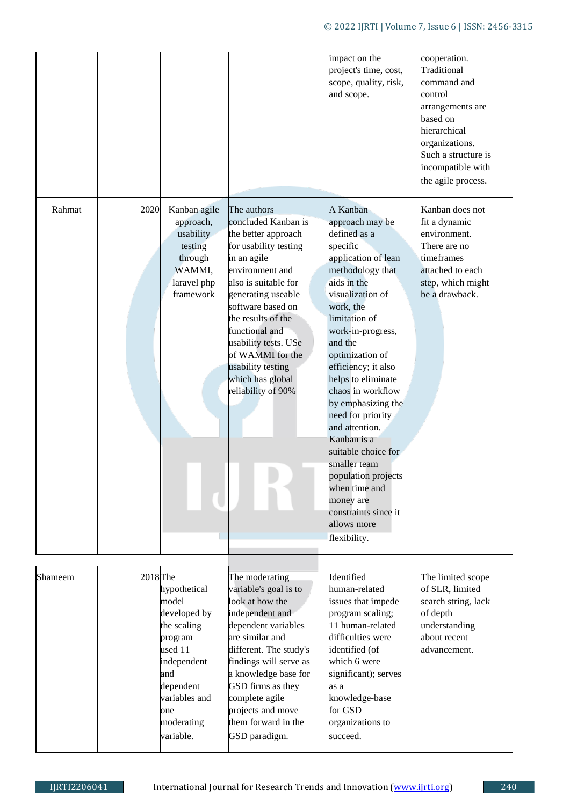# © 2022 IJRTI | Volume 7, Issue 6 | ISSN: 2456-3315

|         |                     |                                                                                                                                                                  |                                                                                                                                                                                                                                                                                                                                            | impact on the<br>project's time, cost,<br>scope, quality, risk,<br>and scope.                                                                                                                                                                                                                                                                                                                                                                                                                                           | cooperation.<br>Traditional<br>command and<br>control<br>arrangements are<br>based on<br>hierarchical<br>organizations.<br>Such a structure is<br>incompatible with<br>the agile process. |
|---------|---------------------|------------------------------------------------------------------------------------------------------------------------------------------------------------------|--------------------------------------------------------------------------------------------------------------------------------------------------------------------------------------------------------------------------------------------------------------------------------------------------------------------------------------------|-------------------------------------------------------------------------------------------------------------------------------------------------------------------------------------------------------------------------------------------------------------------------------------------------------------------------------------------------------------------------------------------------------------------------------------------------------------------------------------------------------------------------|-------------------------------------------------------------------------------------------------------------------------------------------------------------------------------------------|
| Rahmat  | 2020                | Kanban agile<br>approach,<br>usability<br>testing<br>through<br>WAMMI,<br>laravel php<br>framework                                                               | The authors<br>concluded Kanban is<br>the better approach<br>for usability testing<br>in an agile<br>environment and<br>also is suitable for<br>generating useable<br>software based on<br>the results of the<br>functional and<br>usability tests. USe<br>of WAMMI for the<br>usability testing<br>which has global<br>reliability of 90% | A Kanban<br>approach may be<br>defined as a<br>specific<br>application of lean<br>methodology that<br>aids in the<br>visualization of<br>work, the<br>limitation of<br>work-in-progress,<br>and the<br>optimization of<br>efficiency; it also<br>helps to eliminate<br>chaos in workflow<br>by emphasizing the<br>need for priority<br>and attention.<br>Kanban is a<br>suitable choice for<br>smaller team<br>population projects<br>when time and<br>money are<br>constraints since it<br>allows more<br>flexibility. | Kanban does not<br>fit a dynamic<br>environment.<br>There are no<br>timeframes<br>attached to each<br>step, which might<br>be a drawback.                                                 |
| Shameem | 2018 <sub>The</sub> | hypothetical<br>model<br>developed by<br>the scaling<br>program<br>used 11<br>independent<br>and<br>dependent<br>variables and<br>one<br>moderating<br>variable. | The moderating<br>variable's goal is to<br>look at how the<br>independent and<br>dependent variables<br>are similar and<br>different. The study's<br>findings will serve as<br>a knowledge base for<br>GSD firms as they<br>complete agile<br>projects and move<br>them forward in the<br>GSD paradigm.                                    | Identified<br>human-related<br>issues that impede<br>program scaling;<br>11 human-related<br>difficulties were<br>identified (of<br>which 6 were<br>significant); serves<br>as a<br>knowledge-base<br>for GSD<br>organizations to<br>succeed.                                                                                                                                                                                                                                                                           | The limited scope<br>of SLR, limited<br>search string, lack<br>of depth<br>understanding<br>about recent<br>advancement.                                                                  |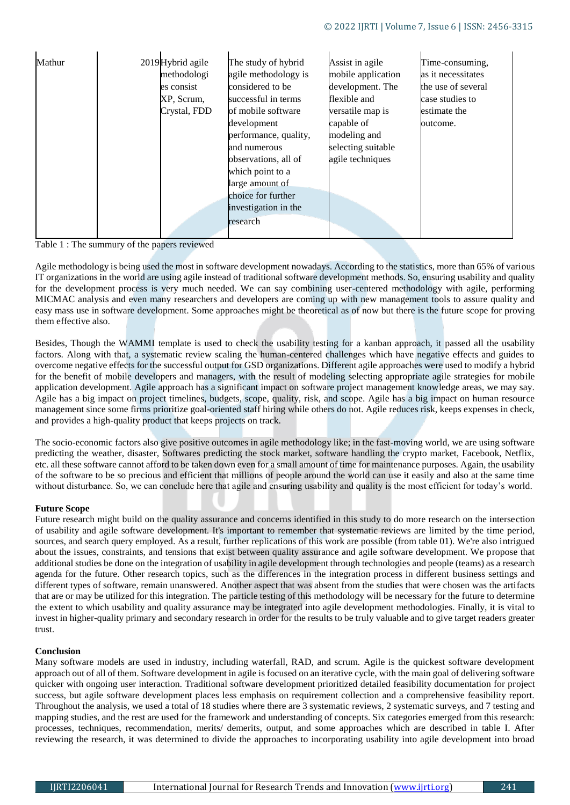| methodologi<br>agile methodology is<br>considered to be<br>es consist<br>successful in terms<br>flexible and<br>XP, Scrum,<br>Crystal, FDD<br>of mobile software<br>versatile map is<br>capable of<br>development<br>performance, quality,<br>modeling and<br>and numerous<br>agile techniques<br>observations, all of<br>which point to a<br>large amount of<br>choice for further<br>investigation in the<br>research | mobile application<br>as it necessitates<br>development. The<br>the use of several<br>case studies to<br>estimate the<br>outcome.<br>selecting suitable |
|-------------------------------------------------------------------------------------------------------------------------------------------------------------------------------------------------------------------------------------------------------------------------------------------------------------------------------------------------------------------------------------------------------------------------|---------------------------------------------------------------------------------------------------------------------------------------------------------|
|-------------------------------------------------------------------------------------------------------------------------------------------------------------------------------------------------------------------------------------------------------------------------------------------------------------------------------------------------------------------------------------------------------------------------|---------------------------------------------------------------------------------------------------------------------------------------------------------|

Table 1 : The summury of the papers reviewed

Agile methodology is being used the most in software development nowadays. According to the statistics, more than 65% of various IT organizations in the world are using agile instead of traditional software development methods. So, ensuring usability and quality for the development process is very much needed. We can say combining user-centered methodology with agile, performing MICMAC analysis and even many researchers and developers are coming up with new management tools to assure quality and easy mass use in software development. Some approaches might be theoretical as of now but there is the future scope for proving them effective also.

Besides, Though the WAMMI template is used to check the usability testing for a kanban approach, it passed all the usability factors. Along with that, a systematic review scaling the human-centered challenges which have negative effects and guides to overcome negative effects for the successful output for GSD organizations. Different agile approaches were used to modify a hybrid for the benefit of mobile developers and managers, with the result of modeling selecting appropriate agile strategies for mobile application development. Agile approach has a significant impact on software project management knowledge areas, we may say. Agile has a big impact on project timelines, budgets, scope, quality, risk, and scope. Agile has a big impact on human resource management since some firms prioritize goal-oriented staff hiring while others do not. Agile reduces risk, keeps expenses in check, and provides a high-quality product that keeps projects on track.

The socio-economic factors also give positive outcomes in agile methodology like; in the fast-moving world, we are using software predicting the weather, disaster, Softwares predicting the stock market, software handling the crypto market, Facebook, Netflix, etc. all these software cannot afford to be taken down even for a small amount of time for maintenance purposes. Again, the usability of the software to be so precious and efficient that millions of people around the world can use it easily and also at the same time without disturbance. So, we can conclude here that agile and ensuring usability and quality is the most efficient for today's world.

### **Future Scope**

Future research might build on the quality assurance and concerns identified in this study to do more research on the intersection of usability and agile software development. It's important to remember that systematic reviews are limited by the time period, sources, and search query employed. As a result, further replications of this work are possible (from table 01). We're also intrigued about the issues, constraints, and tensions that exist between quality assurance and agile software development. We propose that additional studies be done on the integration of usability in agile development through technologies and people (teams) as a research agenda for the future. Other research topics, such as the differences in the integration process in different business settings and different types of software, remain unanswered. Another aspect that was absent from the studies that were chosen was the artifacts that are or may be utilized for this integration. The particle testing of this methodology will be necessary for the future to determine the extent to which usability and quality assurance may be integrated into agile development methodologies. Finally, it is vital to invest in higher-quality primary and secondary research in order for the results to be truly valuable and to give target readers greater trust.

### **Conclusion**

Many software models are used in industry, including waterfall, RAD, and scrum. Agile is the quickest software development approach out of all of them. Software development in agile is focused on an iterative cycle, with the main goal of delivering software quicker with ongoing user interaction. Traditional software development prioritized detailed feasibility documentation for project success, but agile software development places less emphasis on requirement collection and a comprehensive feasibility report. Throughout the analysis, we used a total of 18 studies where there are 3 systematic reviews, 2 systematic surveys, and 7 testing and mapping studies, and the rest are used for the framework and understanding of concepts. Six categories emerged from this research: processes, techniques, recommendation, merits/ demerits, output, and some approaches which are described in table I. After reviewing the research, it was determined to divide the approaches to incorporating usability into agile development into broad